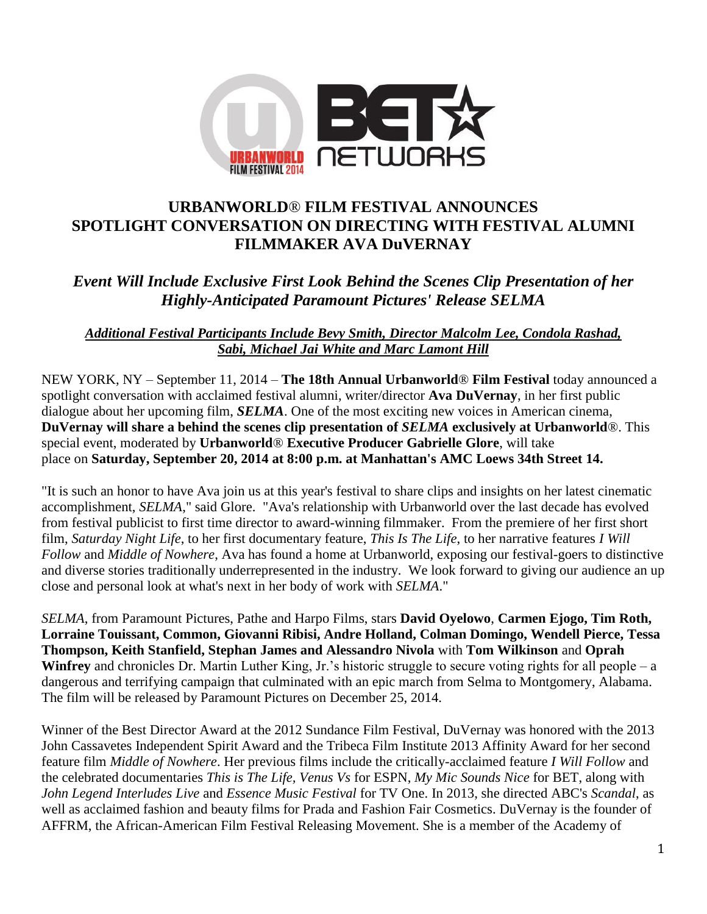

## **URBANWORLD**® **FILM FESTIVAL ANNOUNCES SPOTLIGHT CONVERSATION ON DIRECTING WITH FESTIVAL ALUMNI FILMMAKER AVA DuVERNAY**

*Event Will Include Exclusive First Look Behind the Scenes Clip Presentation of her Highly-Anticipated Paramount Pictures' Release SELMA*

*Additional Festival Participants Include Bevy Smith, Director Malcolm Lee, Condola Rashad, Sabi, Michael Jai White and Marc Lamont Hill* 

NEW YORK, NY – September 11, 2014 – **The 18th Annual Urbanworld**® **Film Festival** today announced a spotlight conversation with acclaimed festival alumni, writer/director **Ava DuVernay**, in her first public dialogue about her upcoming film, *SELMA*. One of the most exciting new voices in American cinema, **DuVernay will share a behind the scenes clip presentation of** *SELMA* **exclusively at Urbanworld**®. This special event, moderated by **Urbanworld**® **Executive Producer Gabrielle Glore**, will take place [on](x-apple-data-detectors://18/) **Saturday, September 20, 2014 at 8:00 p.m. at Manhattan's AMC Loews 34th Street 14.** 

"It is such an honor to have Ava join us at this year's festival to share clips and insights on her latest cinematic accomplishment, *SELMA*," said Glore. "Ava's relationship with Urbanworld over the last decade has evolved from festival publicist to first time director to award-winning filmmaker. From the premiere of her first short film, *Saturday Night Life*, to her first documentary feature, *This Is The Life*, to her narrative features *I Will Follow* and *Middle of Nowhere*, Ava has found a home at Urbanworld, exposing our festival-goers to distinctive and diverse stories traditionally underrepresented in the industry. We look forward to giving our audience an up close and personal look at what's next in her body of work with *SELMA*."

*SELMA*, from Paramount Pictures, Pathe and Harpo Films, stars **David Oyelowo**, **Carmen Ejogo, Tim Roth, Lorraine Touissant, Common, Giovanni Ribisi, Andre Holland, Colman Domingo, Wendell Pierce, Tessa Thompson, Keith Stanfield, Stephan James and Alessandro Nivola** with **Tom Wilkinson** and **Oprah Winfrey** and chronicles Dr. Martin Luther King, Jr.'s historic struggle to secure voting rights for all people – a dangerous and terrifying campaign that culminated with an epic march from Selma to Montgomery, Alabama. The film will be released by Paramount Pictures on December 25, 2014.

Winner of the Best Director Award at the 2012 Sundance Film Festival, DuVernay was honored with the 2013 John Cassavetes Independent Spirit Award and the Tribeca Film Institute 2013 Affinity Award for her second feature film *Middle of Nowhere*. Her previous films include the critically-acclaimed feature *I Will Follow* and the celebrated documentaries *This is The Life, Venus Vs* for ESPN, *My Mic Sounds Nice* for BET, along with *John Legend Interludes Live* and *Essence Music Festival* for TV One. In 2013, she directed ABC's *Scandal*, as well as acclaimed fashion and beauty films for Prada and Fashion Fair Cosmetics. DuVernay is the founder of AFFRM, the African-American Film Festival Releasing Movement. She is a member of the Academy of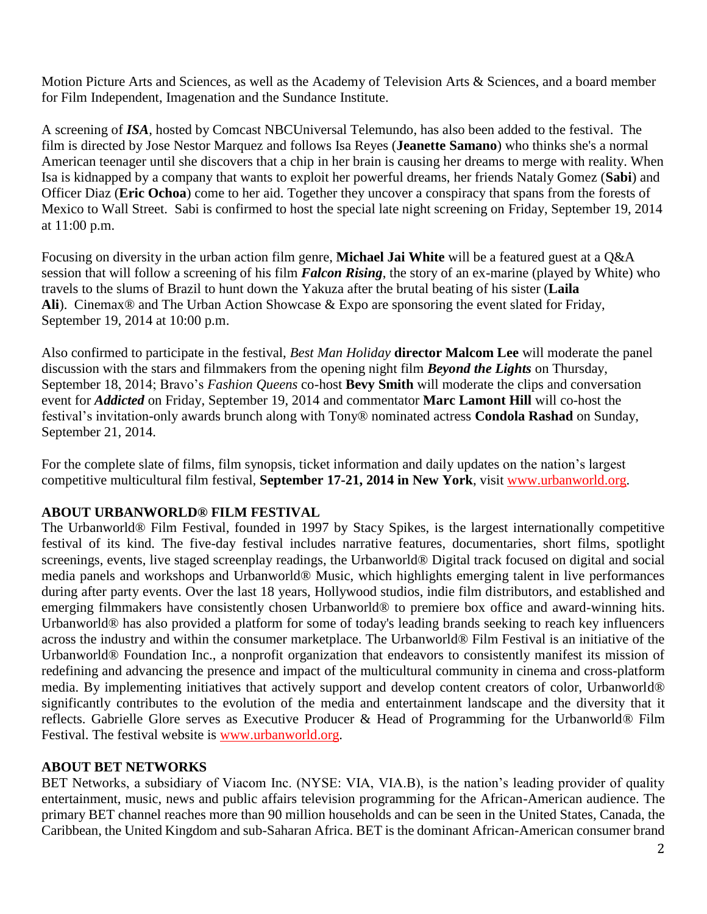Motion Picture Arts and Sciences, as well as the Academy of Television Arts & Sciences, and a board member for Film Independent, Imagenation and the Sundance Institute.

A screening of *ISA*, hosted by Comcast NBCUniversal Telemundo, has also been added to the festival. The film is directed by Jose Nestor Marquez and follows Isa Reyes (**Jeanette Samano**) who thinks she's a normal American teenager until she discovers that a chip in her brain is causing her dreams to merge with reality. When Isa is kidnapped by a company that wants to exploit her powerful dreams, her friends Nataly Gomez (**Sabi**) and Officer Diaz (**Eric Ochoa**) come to her aid. Together they uncover a conspiracy that spans from the forests of Mexico to Wall Street. Sabi is confirmed to host the special late night screening on Friday, September 19, 2014 at 11:00 p.m.

Focusing on diversity in the urban action film genre, **Michael Jai White** will be a featured guest at a Q&A session that will follow a screening of his film *Falcon Rising*, the story of an ex-marine (played by White) who travels to the slums of Brazil to hunt down the Yakuza after the brutal beating of his sister (**Laila Ali**). Cinemax® and The Urban Action Showcase & Expo are sponsoring the event slated for Friday, September 19, 2014 at 10:00 p.m.

Also confirmed to participate in the festival, *Best Man Holiday* **director Malcom Lee** will moderate the panel discussion with the stars and filmmakers from the opening night film *Beyond the Lights* on Thursday, September 18, 2014; Bravo's *Fashion Queens* co-host **Bevy Smith** will moderate the clips and conversation event for *Addicted* on Friday, September 19, 2014 and commentator **Marc Lamont Hill** will co-host the festival's invitation-only awards brunch along with Tony® nominated actress **Condola Rashad** on Sunday, September 21, 2014.

For the complete slate of films, film synopsis, ticket information and daily updates on the nation's largest competitive multicultural film festival, **September 17-21, 2014 in New York**, visit [www.urbanworld.org.](http://www.urbanworld.org/)

## **ABOUT URBANWORLD® FILM FESTIVAL**

The Urbanworld® Film Festival, founded in 1997 by Stacy Spikes, is the largest internationally competitive festival of its kind. The five-day festival includes narrative features, documentaries, short films, spotlight screenings, events, live staged screenplay readings, the Urbanworld® Digital track focused on digital and social media panels and workshops and Urbanworld® Music, which highlights emerging talent in live performances during after party events. Over the last 18 years, Hollywood studios, indie film distributors, and established and emerging filmmakers have consistently chosen Urbanworld® to premiere box office and award-winning hits. Urbanworld® has also provided a platform for some of today's leading brands seeking to reach key influencers across the industry and within the consumer marketplace. The Urbanworld® Film Festival is an initiative of the Urbanworld® Foundation Inc., a nonprofit organization that endeavors to consistently manifest its mission of redefining and advancing the presence and impact of the multicultural community in cinema and cross-platform media. By implementing initiatives that actively support and develop content creators of color, Urbanworld® significantly contributes to the evolution of the media and entertainment landscape and the diversity that it reflects. Gabrielle Glore serves as Executive Producer & Head of Programming for the Urbanworld® Film Festival. The festival website is [www.urbanworld.org.](http://www.urbanworld.org/)

## **ABOUT BET NETWORKS**

BET Networks, a subsidiary of Viacom Inc. (NYSE: VIA, VIA.B), is the nation's leading provider of quality entertainment, music, news and public affairs television programming for the African-American audience. The primary BET channel reaches more than 90 million households and can be seen in the United States, Canada, the Caribbean, the United Kingdom and sub-Saharan Africa. BET is the dominant African-American consumer brand